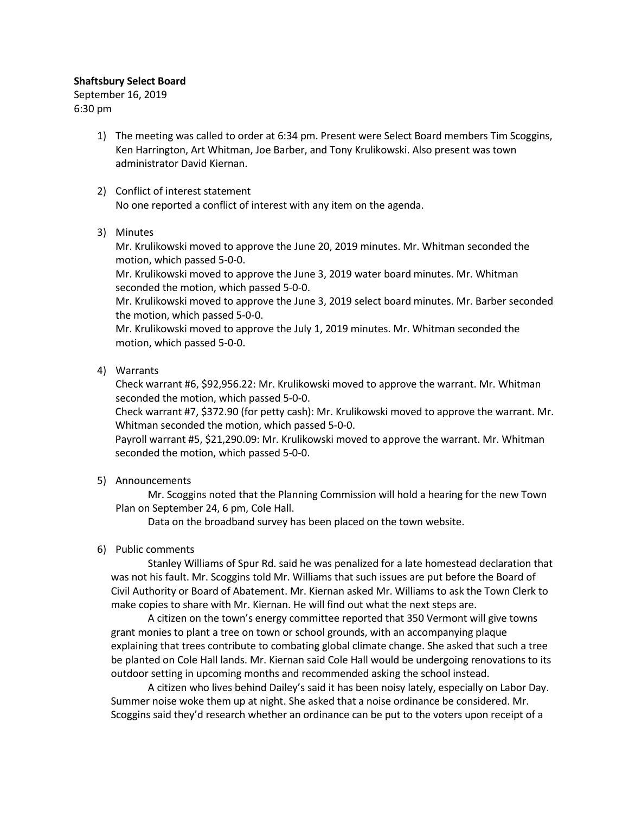## Shaftsbury Select Board

September 16, 2019 6:30 pm

- 1) The meeting was called to order at 6:34 pm. Present were Select Board members Tim Scoggins, Ken Harrington, Art Whitman, Joe Barber, and Tony Krulikowski. Also present was town administrator David Kiernan.
- 2) Conflict of interest statement No one reported a conflict of interest with any item on the agenda.
- 3) Minutes

Mr. Krulikowski moved to approve the June 20, 2019 minutes. Mr. Whitman seconded the motion, which passed 5-0-0.

Mr. Krulikowski moved to approve the June 3, 2019 water board minutes. Mr. Whitman seconded the motion, which passed 5-0-0.

Mr. Krulikowski moved to approve the June 3, 2019 select board minutes. Mr. Barber seconded the motion, which passed 5-0-0.

Mr. Krulikowski moved to approve the July 1, 2019 minutes. Mr. Whitman seconded the motion, which passed 5-0-0.

4) Warrants

Check warrant #6, \$92,956.22: Mr. Krulikowski moved to approve the warrant. Mr. Whitman seconded the motion, which passed 5-0-0.

Check warrant #7, \$372.90 (for petty cash): Mr. Krulikowski moved to approve the warrant. Mr. Whitman seconded the motion, which passed 5-0-0.

Payroll warrant #5, \$21,290.09: Mr. Krulikowski moved to approve the warrant. Mr. Whitman seconded the motion, which passed 5-0-0.

5) Announcements

Mr. Scoggins noted that the Planning Commission will hold a hearing for the new Town Plan on September 24, 6 pm, Cole Hall.

Data on the broadband survey has been placed on the town website.

# 6) Public comments

Stanley Williams of Spur Rd. said he was penalized for a late homestead declaration that was not his fault. Mr. Scoggins told Mr. Williams that such issues are put before the Board of Civil Authority or Board of Abatement. Mr. Kiernan asked Mr. Williams to ask the Town Clerk to make copies to share with Mr. Kiernan. He will find out what the next steps are.

A citizen on the town's energy committee reported that 350 Vermont will give towns grant monies to plant a tree on town or school grounds, with an accompanying plaque explaining that trees contribute to combating global climate change. She asked that such a tree be planted on Cole Hall lands. Mr. Kiernan said Cole Hall would be undergoing renovations to its outdoor setting in upcoming months and recommended asking the school instead.

A citizen who lives behind Dailey's said it has been noisy lately, especially on Labor Day. Summer noise woke them up at night. She asked that a noise ordinance be considered. Mr. Scoggins said they'd research whether an ordinance can be put to the voters upon receipt of a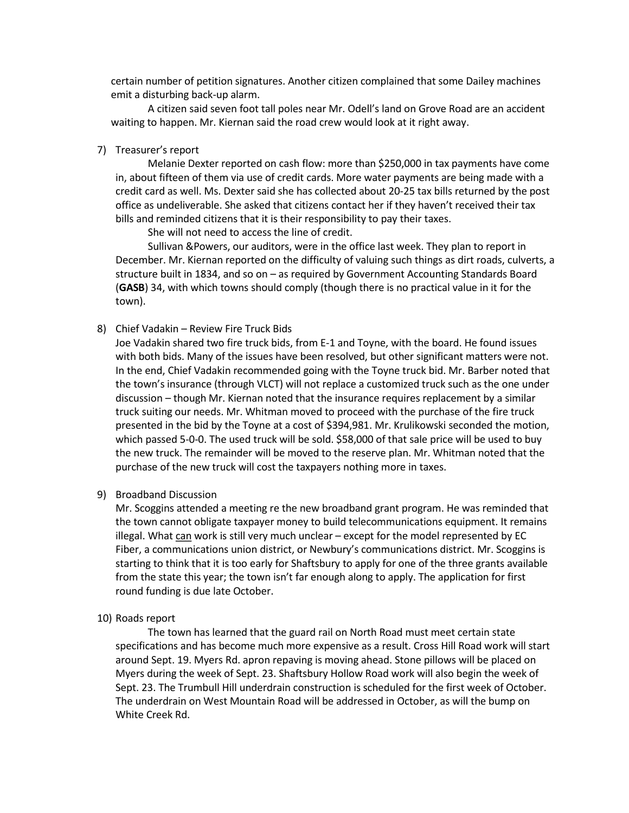certain number of petition signatures. Another citizen complained that some Dailey machines emit a disturbing back-up alarm.

A citizen said seven foot tall poles near Mr. Odell's land on Grove Road are an accident waiting to happen. Mr. Kiernan said the road crew would look at it right away.

7) Treasurer's report

Melanie Dexter reported on cash flow: more than \$250,000 in tax payments have come in, about fifteen of them via use of credit cards. More water payments are being made with a credit card as well. Ms. Dexter said she has collected about 20-25 tax bills returned by the post office as undeliverable. She asked that citizens contact her if they haven't received their tax bills and reminded citizens that it is their responsibility to pay their taxes.

She will not need to access the line of credit.

Sullivan &Powers, our auditors, were in the office last week. They plan to report in December. Mr. Kiernan reported on the difficulty of valuing such things as dirt roads, culverts, a structure built in 1834, and so on – as required by Government Accounting Standards Board (GASB) 34, with which towns should comply (though there is no practical value in it for the town).

8) Chief Vadakin – Review Fire Truck Bids

Joe Vadakin shared two fire truck bids, from E-1 and Toyne, with the board. He found issues with both bids. Many of the issues have been resolved, but other significant matters were not. In the end, Chief Vadakin recommended going with the Toyne truck bid. Mr. Barber noted that the town's insurance (through VLCT) will not replace a customized truck such as the one under discussion – though Mr. Kiernan noted that the insurance requires replacement by a similar truck suiting our needs. Mr. Whitman moved to proceed with the purchase of the fire truck presented in the bid by the Toyne at a cost of \$394,981. Mr. Krulikowski seconded the motion, which passed 5-0-0. The used truck will be sold. \$58,000 of that sale price will be used to buy the new truck. The remainder will be moved to the reserve plan. Mr. Whitman noted that the purchase of the new truck will cost the taxpayers nothing more in taxes.

9) Broadband Discussion

Mr. Scoggins attended a meeting re the new broadband grant program. He was reminded that the town cannot obligate taxpayer money to build telecommunications equipment. It remains illegal. What can work is still very much unclear – except for the model represented by EC Fiber, a communications union district, or Newbury's communications district. Mr. Scoggins is starting to think that it is too early for Shaftsbury to apply for one of the three grants available from the state this year; the town isn't far enough along to apply. The application for first round funding is due late October.

10) Roads report

The town has learned that the guard rail on North Road must meet certain state specifications and has become much more expensive as a result. Cross Hill Road work will start around Sept. 19. Myers Rd. apron repaving is moving ahead. Stone pillows will be placed on Myers during the week of Sept. 23. Shaftsbury Hollow Road work will also begin the week of Sept. 23. The Trumbull Hill underdrain construction is scheduled for the first week of October. The underdrain on West Mountain Road will be addressed in October, as will the bump on White Creek Rd.